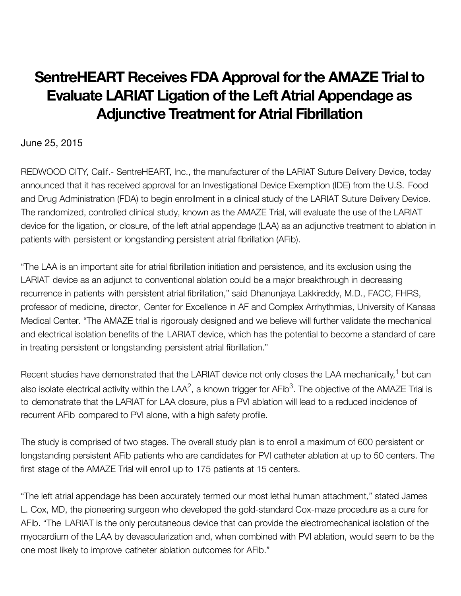## **SentreHEART Receives FDA Approval forthe AMAZE Trial to Evaluate LARIAT Ligation of the Left Atrial Appendage as Adjunctive Treatment for Atrial Fibrillation**

## June 25, 2015

REDWOOD CITY, Calif.- SentreHEART, Inc., the manufacturer of the LARIAT Suture Delivery Device, today announced that it has received approval for an Investigational Device Exemption (IDE) from the U.S. Food and Drug Administration (FDA) to begin enrollment in a clinical study of the LARIAT Suture Delivery Device. The randomized, controlled clinical study, known as the AMAZE Trial, will evaluate the use of the LARIAT device for the ligation, or closure, of the left atrial appendage (LAA) as an adjunctive treatment to ablation in patients with persistent or longstanding persistent atrial fibrillation (AFib).

"The LAA is an important site for atrial fibrillation initiation and persistence, and its exclusion using the LARIAT device as an adjunct to conventional ablation could be a major breakthrough in decreasing recurrence in patients with persistent atrial fibrillation," said Dhanunjaya Lakkireddy, M.D., FACC, FHRS, professor of medicine, director, Center for Excellence in AF and Complex Arrhythmias, University of Kansas Medical Center. "The AMAZE trial is rigorously designed and we believe will further validate the mechanical and electrical isolation benefits of the LARIAT device, which has the potential to become a standard of care in treating persistent or longstanding persistent atrial fibrillation."

Recent studies have demonstrated that the LARIAT device not only closes the LAA mechanically,<sup>1</sup> but can also isolate electrical activity within the LAA<sup>2</sup>, a known trigger for AFib<sup>3</sup>. The objective of the AMAZE Trial is to demonstrate that the LARIAT for LAA closure, plus a PVI ablation will lead to a reduced incidence of recurrent AFib compared to PVI alone, with a high safety profile.

The study is comprised of two stages. The overall study plan is to enroll a maximum of 600 persistent or longstanding persistent AFib patients who are candidates for PVI catheter ablation at up to 50 centers. The first stage of the AMAZE Trial will enroll up to 175 patients at 15 centers.

"The left atrial appendage has been accurately termed our most lethal human attachment," stated James L. Cox, MD, the pioneering surgeon who developed the gold-standard Cox-maze procedure as a cure for AFib. "The LARIAT is the only percutaneous device that can provide the electromechanical isolation of the myocardium of the LAA by devascularization and, when combined with PVI ablation, would seem to be the one most likely to improve catheter ablation outcomes for AFib."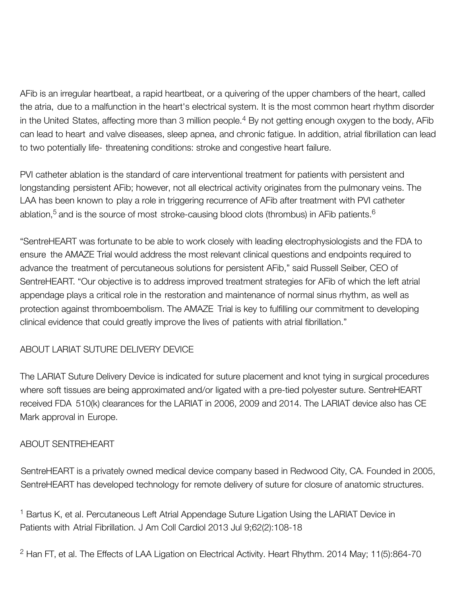AFib is an irregular heartbeat, a rapid heartbeat, or a quivering of the upper chambers of the heart, called the atria, due to a malfunction in the heart's electrical system. It is the most common heart rhythm disorder in the United States, affecting more than 3 million people.<sup>4</sup> By not getting enough oxygen to the body, AFib can lead to heart and valve diseases, sleep apnea, and chronic fatigue. In addition, atrial fibrillation can lead to two potentially life- threatening conditions: stroke and congestive heart failure.

PVI catheter ablation is the standard of care interventional treatment for patients with persistent and longstanding persistent AFib; however, not all electrical activity originates from the pulmonary veins. The LAA has been known to play a role in triggering recurrence of AFib after treatment with PVI catheter ablation,<sup>5</sup> and is the source of most stroke-causing blood clots (thrombus) in AFib patients.<sup>6</sup>

"SentreHEART was fortunate to be able to work closely with leading electrophysiologists and the FDA to ensure the AMAZE Trial would address the most relevant clinical questions and endpoints required to advance the treatment of percutaneous solutions for persistent AFib," said Russell Seiber, CEO of SentreHEART. "Our objective is to address improved treatment strategies for AFib of which the left atrial appendage plays a critical role in the restoration and maintenance of normal sinus rhythm, as well as protection against thromboembolism. The AMAZE Trial is key to fulfilling our commitment to developing clinical evidence that could greatly improve the lives of patients with atrial fibrillation."

## ABOUT LARIAT SUTURE DELIVERY DEVICE

The LARIAT Suture Delivery Device is indicated for suture placement and knot tying in surgical procedures where soft tissues are being approximated and/or ligated with a pre-tied polyester suture. SentreHEART received FDA 510(k) clearances for the LARIAT in 2006, 2009 and 2014. The LARIAT device also has CE Mark approval in Europe.

## ABOUT SENTREHEART

SentreHEART is a privately owned medical device company based in Redwood City, CA. Founded in 2005, SentreHEART has developed technology for remote delivery of suture for closure of anatomic structures.

<sup>1</sup> Bartus K, et al. Percutaneous Left Atrial Appendage Suture Ligation Using the LARIAT Device in Patients with Atrial Fibrillation. J Am Coll Cardiol 2013 Jul 9;62(2):108-18

<sup>2</sup> Han FT, et al. The Effects of LAA Ligation on Electrical Activity. Heart Rhythm. 2014 May; 11(5):864-70